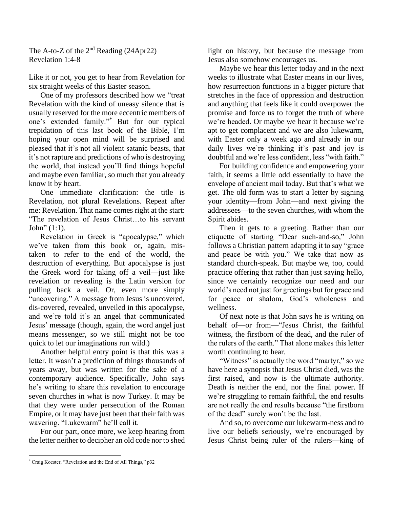The A-to-Z of the  $2<sup>nd</sup>$  Reading (24Apr22) Revelation 1:4-8

Like it or not, you get to hear from Revelation for six straight weeks of this Easter season.

One of my professors described how we "treat Revelation with the kind of uneasy silence that is usually reserved for the more eccentric members of one's extended family."\* But for our typical trepidation of this last book of the Bible, I'm hoping your open mind will be surprised and pleased that it's not all violent satanic beasts, that it's not rapture and predictions of who is destroying the world, that instead you'll find things hopeful and maybe even familiar, so much that you already know it by heart.

One immediate clarification: the title is Revelation, not plural Revelations. Repeat after me: Revelation. That name comes right at the start: "The revelation of Jesus Christ…to his servant John" $(1:1)$ .

Revelation in Greek is "apocalypse," which we've taken from this book—or, again, mistaken—to refer to the end of the world, the destruction of everything. But apocalypse is just the Greek word for taking off a veil—just like revelation or revealing is the Latin version for pulling back a veil. Or, even more simply "uncovering." A message from Jesus is uncovered, dis-covered, revealed, unveiled in this apocalypse, and we're told it's an angel that communicated Jesus' message (though, again, the word angel just means messenger, so we still might not be too quick to let our imaginations run wild.)

Another helpful entry point is that this was a letter. It wasn't a prediction of things thousands of years away, but was written for the sake of a contemporary audience. Specifically, John says he's writing to share this revelation to encourage seven churches in what is now Turkey. It may be that they were under persecution of the Roman Empire, or it may have just been that their faith was wavering. "Lukewarm" he'll call it.

For our part, once more, we keep hearing from the letter neither to decipher an old code nor to shed

Maybe we hear this letter today and in the next weeks to illustrate what Easter means in our lives, how resurrection functions in a bigger picture that stretches in the face of oppression and destruction and anything that feels like it could overpower the promise and force us to forget the truth of where we're headed. Or maybe we hear it because we're apt to get complacent and we are also lukewarm, with Easter only a week ago and already in our daily lives we're thinking it's past and joy is doubtful and we're less confident, less "with faith."

For building confidence and empowering your faith, it seems a little odd essentially to have the envelope of ancient mail today. But that's what we get. The old form was to start a letter by signing your identity—from John—and next giving the addressees—to the seven churches, with whom the Spirit abides.

Then it gets to a greeting. Rather than our etiquette of starting "Dear such-and-so," John follows a Christian pattern adapting it to say "grace and peace be with you." We take that now as standard church-speak. But maybe we, too, could practice offering that rather than just saying hello, since we certainly recognize our need and our world's need not just for greetings but for grace and for peace or shalom, God's wholeness and wellness.

Of next note is that John says he is writing on behalf of—or from—"Jesus Christ, the faithful witness, the firstborn of the dead, and the ruler of the rulers of the earth." That alone makes this letter worth continuing to hear.

"Witness" is actually the word "martyr," so we have here a synopsis that Jesus Christ died, was the first raised, and now is the ultimate authority. Death is neither the end, nor the final power. If we're struggling to remain faithful, the end results are not really the end results because "the firstborn of the dead" surely won't be the last.

And so, to overcome our lukewarm-ness and to live our beliefs seriously, we're encouraged by Jesus Christ being ruler of the rulers—king of

light on history, but because the message from Jesus also somehow encourages us.

<sup>\*</sup> Craig Koester, "Revelation and the End of All Things," p32